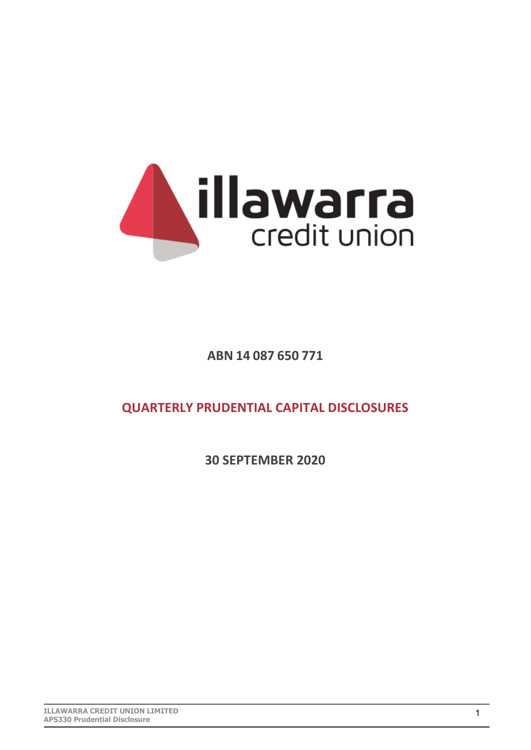

**ABN 14 087 650 771** 

**QUARTERLY PRUDENTIAL CAPITAL DISCLOSURES** 

**30 SEPTEMBER 2020**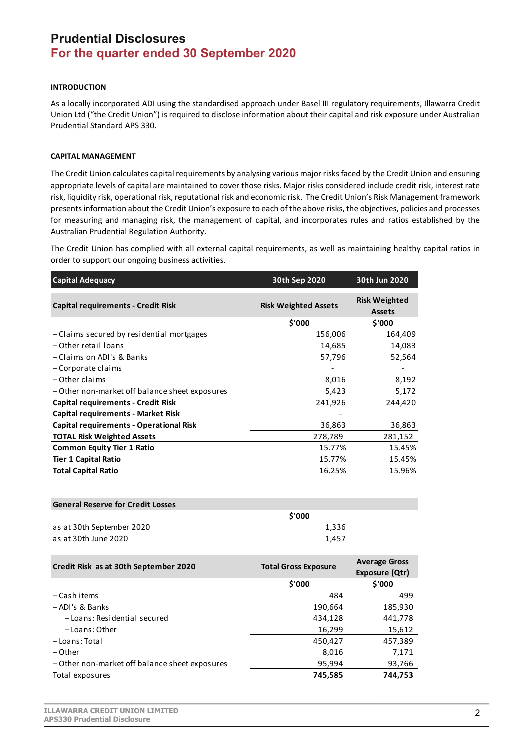## **Prudential Disclosures For the quarter ended 30 September 2020**

## **INTRODUCTION**

As a locally incorporated ADI using the standardised approach under Basel III regulatory requirements, Illawarra Credit Union Ltd ("the Credit Union") is required to disclose information about their capital and risk exposure under Australian Prudential Standard APS 330.

## **CAPITAL MANAGEMENT**

The Credit Union calculates capital requirements by analysing various major risks faced by the Credit Union and ensuring appropriate levels of capital are maintained to cover those risks. Major risks considered include credit risk, interest rate risk, liquidity risk, operational risk, reputational risk and economic risk. The Credit Union's Risk Management framework presents information about the Credit Union's exposure to each of the above risks, the objectives, policies and processes for measuring and managing risk, the management of capital, and incorporates rules and ratios established by the Australian Prudential Regulation Authority.

The Credit Union has complied with all external capital requirements, as well as maintaining healthy capital ratios in order to support our ongoing business activities.

| <b>Capital Adequacy</b>                        | 30th Sep 2020               | 30th Jun 2020                          |  |  |
|------------------------------------------------|-----------------------------|----------------------------------------|--|--|
| <b>Capital requirements - Credit Risk</b>      | <b>Risk Weighted Assets</b> | <b>Risk Weighted</b><br><b>Assets</b>  |  |  |
|                                                | \$'000                      | \$'000                                 |  |  |
| - Claims secured by residential mortgages      | 156,006                     | 164,409                                |  |  |
| - Other retail loans                           | 14,685                      | 14,083                                 |  |  |
| - Claims on ADI's & Banks                      | 57,796                      | 52,564                                 |  |  |
| - Corporate claims                             |                             |                                        |  |  |
| - Other claims                                 | 8,016                       | 8,192                                  |  |  |
| - Other non-market off balance sheet exposures | 5,423                       | 5,172                                  |  |  |
| <b>Capital requirements - Credit Risk</b>      | 241,926                     | 244,420                                |  |  |
| <b>Capital requirements - Market Risk</b>      |                             |                                        |  |  |
| <b>Capital requirements - Operational Risk</b> | 36,863                      | 36,863                                 |  |  |
| <b>TOTAL Risk Weighted Assets</b>              | 278,789                     | 281,152                                |  |  |
| <b>Common Equity Tier 1 Ratio</b>              | 15.77%                      | 15.45%                                 |  |  |
| <b>Tier 1 Capital Ratio</b>                    | 15.77%                      | 15.45%                                 |  |  |
| <b>Total Capital Ratio</b>                     | 16.25%                      | 15.96%                                 |  |  |
| <b>General Reserve for Credit Losses</b>       |                             |                                        |  |  |
|                                                | \$'000                      |                                        |  |  |
| as at 30th September 2020                      | 1,336                       |                                        |  |  |
| as at 30th June 2020                           | 1,457                       |                                        |  |  |
|                                                |                             |                                        |  |  |
| Credit Risk as at 30th September 2020          | <b>Total Gross Exposure</b> | <b>Average Gross</b><br>Exposure (Qtr) |  |  |
|                                                | \$'000                      | \$'000                                 |  |  |
| - Cash items                                   | 484                         | 499                                    |  |  |
| -ADI's & Banks                                 | 190,664                     | 185,930                                |  |  |
| -Loans: Residential secured                    | 434,128                     | 441,778                                |  |  |
| - Loans: Other                                 | 16,299                      | 15,612                                 |  |  |
| - Loans: Total                                 | 450,427                     | 457,389                                |  |  |
| – Other                                        | 8,016                       | 7,171                                  |  |  |
| - Other non-market off balance sheet exposures | 95,994                      | 93,766                                 |  |  |
| Total exposures                                | 745,585<br>744,753          |                                        |  |  |